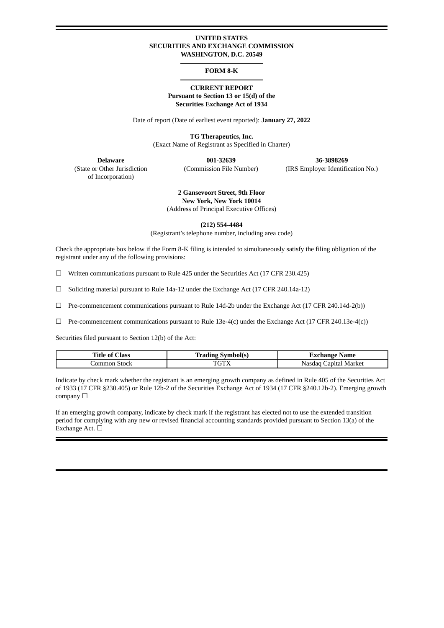#### **UNITED STATES SECURITIES AND EXCHANGE COMMISSION WASHINGTON, D.C. 20549**

#### **FORM 8-K**

### **CURRENT REPORT Pursuant to Section 13 or 15(d) of the Securities Exchange Act of 1934**

Date of report (Date of earliest event reported): **January 27, 2022**

**TG Therapeutics, Inc.** (Exact Name of Registrant as Specified in Charter)

of Incorporation)

**Delaware 001-32639 36-3898269** (State or Other Jurisdiction (Commission File Number) (IRS Employer Identification No.)

# **2 Gansevoort Street, 9th Floor New York, New York 10014**

(Address of Principal Executive Offices)

**(212) 554-4484**

(Registrant's telephone number, including area code)

Check the appropriate box below if the Form 8-K filing is intended to simultaneously satisfy the filing obligation of the registrant under any of the following provisions:

☐ Written communications pursuant to Rule 425 under the Securities Act (17 CFR 230.425)

☐ Soliciting material pursuant to Rule 14a-12 under the Exchange Act (17 CFR 240.14a-12)

 $\Box$  Pre-commencement communications pursuant to Rule 14d-2b under the Exchange Act (17 CFR 240.14d-2(b))

☐ Pre-commencement communications pursuant to Rule 13e-4(c) under the Exchange Act (17 CFR 240.13e-4(c))

Securities filed pursuant to Section 12(b) of the Act:

| Title of<br>ات Iass | <b>Trading</b><br>Symbol(s) | Exchange Name            |
|---------------------|-----------------------------|--------------------------|
| Common Stock        | <b>DOTU</b>                 | Capital Market<br>Nasdag |

Indicate by check mark whether the registrant is an emerging growth company as defined in Rule 405 of the Securities Act of 1933 (17 CFR §230.405) or Rule 12b-2 of the Securities Exchange Act of 1934 (17 CFR §240.12b-2). Emerging growth company □

If an emerging growth company, indicate by check mark if the registrant has elected not to use the extended transition period for complying with any new or revised financial accounting standards provided pursuant to Section 13(a) of the Exchange Act. □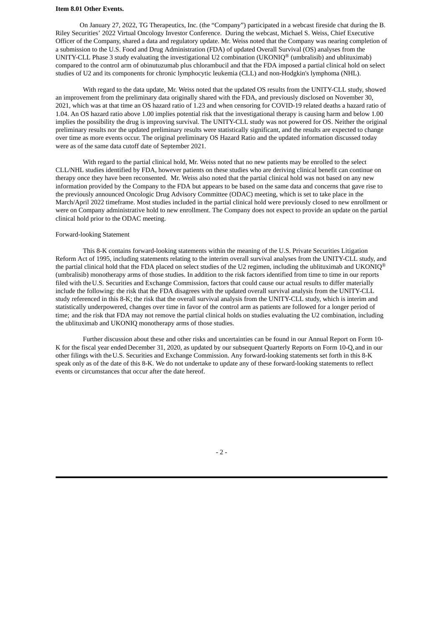#### **Item 8.01 Other Events.**

On January 27, 2022, TG Therapeutics, Inc. (the "Company") participated in a webcast fireside chat during the B. Riley Securities' 2022 Virtual Oncology Investor Conference. During the webcast, Michael S. Weiss, Chief Executive Officer of the Company, shared a data and regulatory update. Mr. Weiss noted that the Company was nearing completion of a submission to the U.S. Food and Drug Administration (FDA) of updated Overall Survival (OS) analyses from the UNITY-CLL Phase 3 study evaluating the investigational U2 combination (UKONIQ® (umbralisib) and ublituximab) compared to the control arm of obinutuzumab plus chlorambucil and that the FDA imposed a partial clinical hold on select studies of U2 and its components for chronic lymphocytic leukemia (CLL) and non-Hodgkin's lymphoma (NHL).

With regard to the data update, Mr. Weiss noted that the updated OS results from the UNITY-CLL study, showed an improvement from the preliminary data originally shared with the FDA, and previously disclosed on November 30, 2021, which was at that time an OS hazard ratio of 1.23 and when censoring for COVID-19 related deaths a hazard ratio of 1.04. An OS hazard ratio above 1.00 implies potential risk that the investigational therapy is causing harm and below 1.00 implies the possibility the drug is improving survival. The UNITY-CLL study was not powered for OS. Neither the original preliminary results nor the updated preliminary results were statistically significant, and the results are expected to change over time as more events occur. The original preliminary OS Hazard Ratio and the updated information discussed today were as of the same data cutoff date of September 2021.

With regard to the partial clinical hold, Mr. Weiss noted that no new patients may be enrolled to the select CLL/NHL studies identified by FDA, however patients on these studies who are deriving clinical benefit can continue on therapy once they have been reconsented. Mr. Weiss also noted that the partial clinical hold was not based on any new information provided by the Company to the FDA but appears to be based on the same data and concerns that gave rise to the previously announced Oncologic Drug Advisory Committee (ODAC) meeting, which is set to take place in the March/April 2022 timeframe. Most studies included in the partial clinical hold were previously closed to new enrollment or were on Company administrative hold to new enrollment. The Company does not expect to provide an update on the partial clinical hold prior to the ODAC meeting.

#### Forward-looking Statement

This 8-K contains forward-looking statements within the meaning of the U.S. Private Securities Litigation Reform Act of 1995, including statements relating to the interim overall survival analyses from the UNITY-CLL study, and the partial clinical hold that the FDA placed on select studies of the U2 regimen, including the ublituximab and UKONIQ® (umbralisib) monotherapy arms of those studies. In addition to the risk factors identified from time to time in our reports filed with theU.S. Securities and Exchange Commission, factors that could cause our actual results to differ materially include the following: the risk that the FDA disagrees with the updated overall survival analysis from the UNITY-CLL study referenced in this 8-K; the risk that the overall survival analysis from the UNITY-CLL study, which is interim and statistically underpowered, changes over time in favor of the control arm as patients are followed for a longer period of time; and the risk that FDA may not remove the partial clinical holds on studies evaluating the U2 combination, including the ublituximab and UKONIQ monotherapy arms of those studies.

Further discussion about these and other risks and uncertainties can be found in our Annual Report on Form 10- K for the fiscal year endedDecember 31, 2020, as updated by our subsequent Quarterly Reports on Form 10-Q, and in our other filings with theU.S. Securities and Exchange Commission. Any forward-looking statements set forth in this 8-K speak only as of the date of this 8-K. We do not undertake to update any of these forward-looking statements to reflect events or circumstances that occur after the date hereof.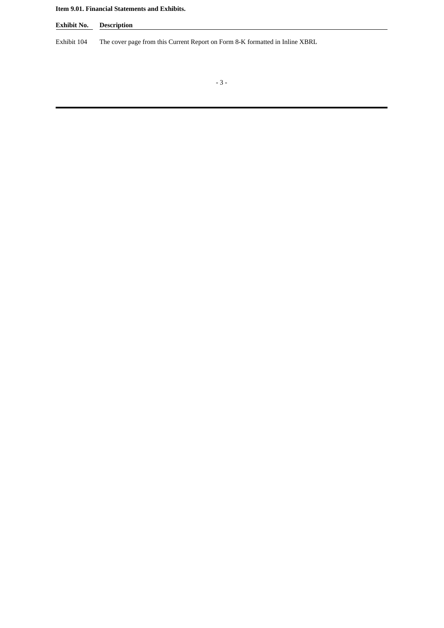## **Item 9.01. Financial Statements and Exhibits.**

**Exhibit No. Description**

Exhibit 104 The cover page from this Current Report on Form 8-K formatted in Inline XBRL